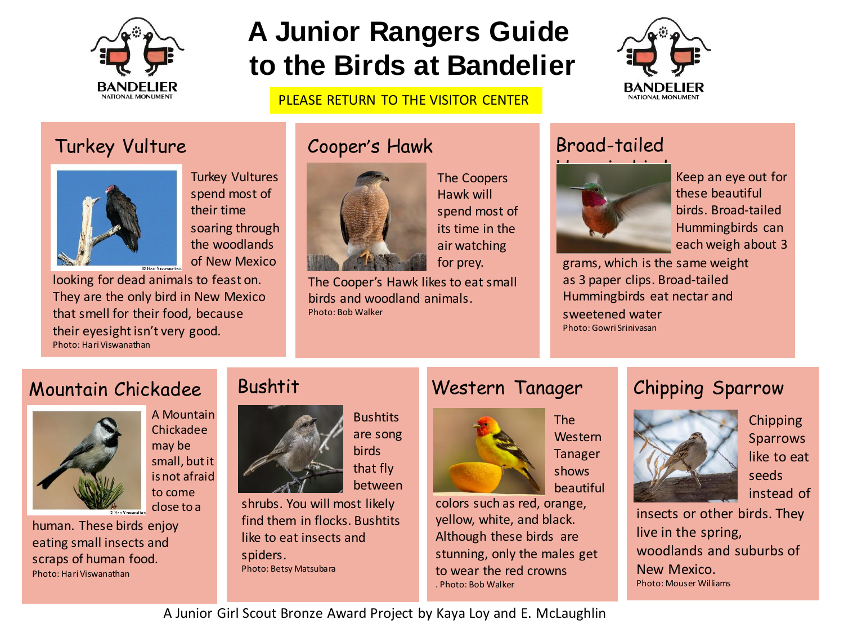

# **A Junior Rangers Guide to the Birds at Bandelier**

#### PLEASE RETURN TO THE VISITOR CENTER



## Turkey Vulture Cooper's Hawk Broad-tailed



spend most of their time soaring through the woodlands of New Mexico

looking for dead animals to feast on. They are the only bird in New Mexico that smell for their food, because their eyesight isn't very good. Photo: Hari Viswanathan



The Coopers Hawk will spend most of its time in the air watching for prey.

The Cooper's Hawk likes to eat small birds and woodland animals. Photo: Bob Walker



Keep an eye out for these beautiful birds. Broad-tailed Hummingbirds can each weigh about 3

grams, which is the same weight as 3 paper clips. Broad-tailed Hummingbirds eat nectar and sweetened water Photo: Gowri Srinivasan

## Mountain Chickadee



A Mountain Chickadee may be small, but it is not afraid to come close to a

human. These birds enjoy eating small insects and scraps of human food. Photo: HariViswanathan

## Bushtit



**Bushtits** are song **birds** that fly between

shrubs. You will most likely find them in flocks. Bushtits like to eat insects and spiders. Photo: Betsy Matsubara

## Western Tanager



The Western Tanager shows beautiful

colors such as red, orange, yellow, white, and black. Although these birds are stunning, only the males get to wear the red crowns . Photo: Bob Walker

## Chipping Sparrow



**Chipping Sparrows** like to eat seeds instead of

insects or other birds. They live in the spring, woodlands and suburbs of New Mexico. Photo: Mouser Williams

A Junior Girl Scout Bronze Award Project by Kaya Loy and E. McLaughlin